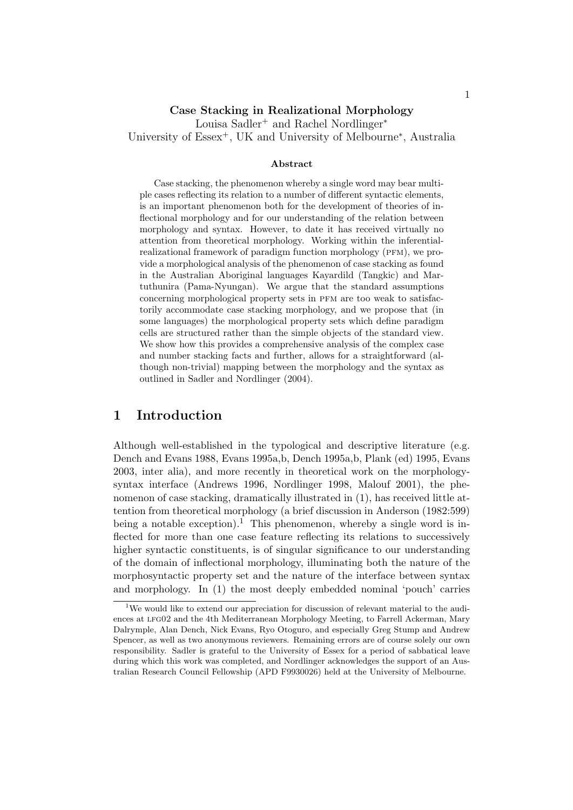### Case Stacking in Realizational Morphology

Louisa Sadler<sup>+</sup> and Rachel Nordlinger<sup>∗</sup>

University of Essex<sup>+</sup>, UK and University of Melbourne<sup>∗</sup> , Australia

#### Abstract

Case stacking, the phenomenon whereby a single word may bear multiple cases reflecting its relation to a number of different syntactic elements, is an important phenomenon both for the development of theories of inflectional morphology and for our understanding of the relation between morphology and syntax. However, to date it has received virtually no attention from theoretical morphology. Working within the inferentialrealizational framework of paradigm function morphology (PFM), we provide a morphological analysis of the phenomenon of case stacking as found in the Australian Aboriginal languages Kayardild (Tangkic) and Martuthunira (Pama-Nyungan). We argue that the standard assumptions concerning morphological property sets in PFM are too weak to satisfactorily accommodate case stacking morphology, and we propose that (in some languages) the morphological property sets which define paradigm cells are structured rather than the simple objects of the standard view. We show how this provides a comprehensive analysis of the complex case and number stacking facts and further, allows for a straightforward (although non-trivial) mapping between the morphology and the syntax as outlined in Sadler and Nordlinger (2004).

### 1 Introduction

Although well-established in the typological and descriptive literature (e.g. Dench and Evans 1988, Evans 1995a,b, Dench 1995a,b, Plank (ed) 1995, Evans 2003, inter alia), and more recently in theoretical work on the morphologysyntax interface (Andrews 1996, Nordlinger 1998, Malouf 2001), the phenomenon of case stacking, dramatically illustrated in  $(1)$ , has received little attention from theoretical morphology (a brief discussion in Anderson (1982:599) being a notable exception).<sup>1</sup> This phenomenon, whereby a single word is inflected for more than one case feature reflecting its relations to successively higher syntactic constituents, is of singular significance to our understanding of the domain of inflectional morphology, illuminating both the nature of the morphosyntactic property set and the nature of the interface between syntax and morphology. In (1) the most deeply embedded nominal 'pouch' carries

<sup>&</sup>lt;sup>1</sup>We would like to extend our appreciation for discussion of relevant material to the audiences at lfg02 and the 4th Mediterranean Morphology Meeting, to Farrell Ackerman, Mary Dalrymple, Alan Dench, Nick Evans, Ryo Otoguro, and especially Greg Stump and Andrew Spencer, as well as two anonymous reviewers. Remaining errors are of course solely our own responsibility. Sadler is grateful to the University of Essex for a period of sabbatical leave during which this work was completed, and Nordlinger acknowledges the support of an Australian Research Council Fellowship (APD F9930026) held at the University of Melbourne.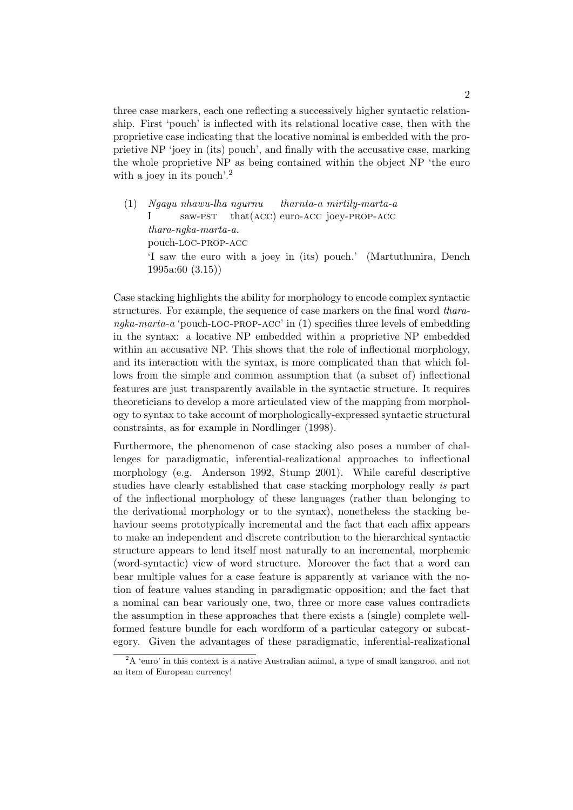three case markers, each one reflecting a successively higher syntactic relationship. First 'pouch' is inflected with its relational locative case, then with the proprietive case indicating that the locative nominal is embedded with the proprietive NP 'joey in (its) pouch', and finally with the accusative case, marking the whole proprietive NP as being contained within the object NP 'the euro with a joey in its pouch'.<sup>2</sup>

(1) Ngayu nhawu-lha ngurnu I saw-pst that(acc) euro-acc joey-prop-acc tharnta-a mirtily-marta-a thara-ngka-marta-a. pouch-loc-prop-acc 'I saw the euro with a joey in (its) pouch.' (Martuthunira, Dench 1995a:60 (3.15))

Case stacking highlights the ability for morphology to encode complex syntactic structures. For example, the sequence of case markers on the final word thara $ngka-marta-a$  'pouch-LOC-PROP-ACC' in  $(1)$  specifies three levels of embedding in the syntax: a locative NP embedded within a proprietive NP embedded within an accusative NP. This shows that the role of inflectional morphology, and its interaction with the syntax, is more complicated than that which follows from the simple and common assumption that (a subset of) inflectional features are just transparently available in the syntactic structure. It requires theoreticians to develop a more articulated view of the mapping from morphology to syntax to take account of morphologically-expressed syntactic structural constraints, as for example in Nordlinger (1998).

Furthermore, the phenomenon of case stacking also poses a number of challenges for paradigmatic, inferential-realizational approaches to inflectional morphology (e.g. Anderson 1992, Stump 2001). While careful descriptive studies have clearly established that case stacking morphology really is part of the inflectional morphology of these languages (rather than belonging to the derivational morphology or to the syntax), nonetheless the stacking behaviour seems prototypically incremental and the fact that each affix appears to make an independent and discrete contribution to the hierarchical syntactic structure appears to lend itself most naturally to an incremental, morphemic (word-syntactic) view of word structure. Moreover the fact that a word can bear multiple values for a case feature is apparently at variance with the notion of feature values standing in paradigmatic opposition; and the fact that a nominal can bear variously one, two, three or more case values contradicts the assumption in these approaches that there exists a (single) complete wellformed feature bundle for each wordform of a particular category or subcategory. Given the advantages of these paradigmatic, inferential-realizational

<sup>2</sup>A 'euro' in this context is a native Australian animal, a type of small kangaroo, and not an item of European currency!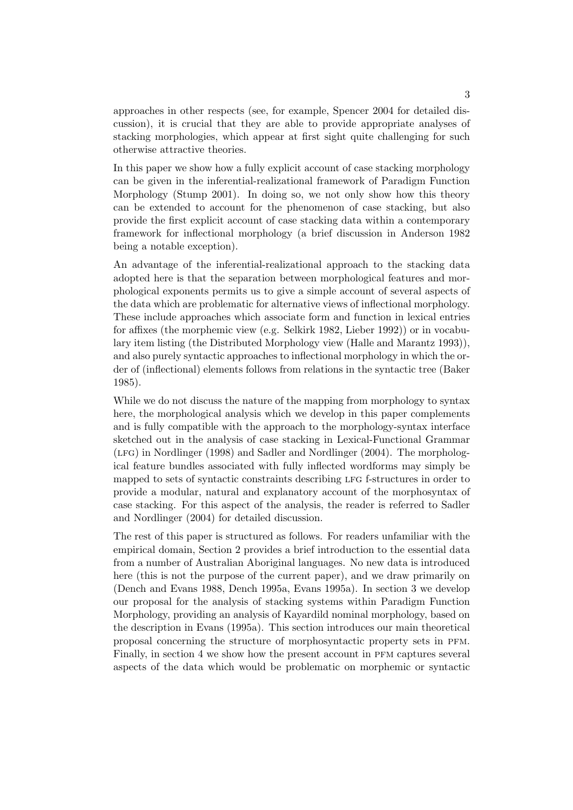approaches in other respects (see, for example, Spencer 2004 for detailed discussion), it is crucial that they are able to provide appropriate analyses of stacking morphologies, which appear at first sight quite challenging for such otherwise attractive theories.

In this paper we show how a fully explicit account of case stacking morphology can be given in the inferential-realizational framework of Paradigm Function Morphology (Stump 2001). In doing so, we not only show how this theory can be extended to account for the phenomenon of case stacking, but also provide the first explicit account of case stacking data within a contemporary framework for inflectional morphology (a brief discussion in Anderson 1982 being a notable exception).

An advantage of the inferential-realizational approach to the stacking data adopted here is that the separation between morphological features and morphological exponents permits us to give a simple account of several aspects of the data which are problematic for alternative views of inflectional morphology. These include approaches which associate form and function in lexical entries for affixes (the morphemic view (e.g. Selkirk 1982, Lieber 1992)) or in vocabulary item listing (the Distributed Morphology view (Halle and Marantz 1993)), and also purely syntactic approaches to inflectional morphology in which the order of (inflectional) elements follows from relations in the syntactic tree (Baker 1985).

While we do not discuss the nature of the mapping from morphology to syntax here, the morphological analysis which we develop in this paper complements and is fully compatible with the approach to the morphology-syntax interface sketched out in the analysis of case stacking in Lexical-Functional Grammar  $(LFG)$  in Nordlinger (1998) and Sadler and Nordlinger (2004). The morphological feature bundles associated with fully inflected wordforms may simply be mapped to sets of syntactic constraints describing LFG f-structures in order to provide a modular, natural and explanatory account of the morphosyntax of case stacking. For this aspect of the analysis, the reader is referred to Sadler and Nordlinger (2004) for detailed discussion.

The rest of this paper is structured as follows. For readers unfamiliar with the empirical domain, Section 2 provides a brief introduction to the essential data from a number of Australian Aboriginal languages. No new data is introduced here (this is not the purpose of the current paper), and we draw primarily on (Dench and Evans 1988, Dench 1995a, Evans 1995a). In section 3 we develop our proposal for the analysis of stacking systems within Paradigm Function Morphology, providing an analysis of Kayardild nominal morphology, based on the description in Evans (1995a). This section introduces our main theoretical proposal concerning the structure of morphosyntactic property sets in pfm. Finally, in section 4 we show how the present account in pfm captures several aspects of the data which would be problematic on morphemic or syntactic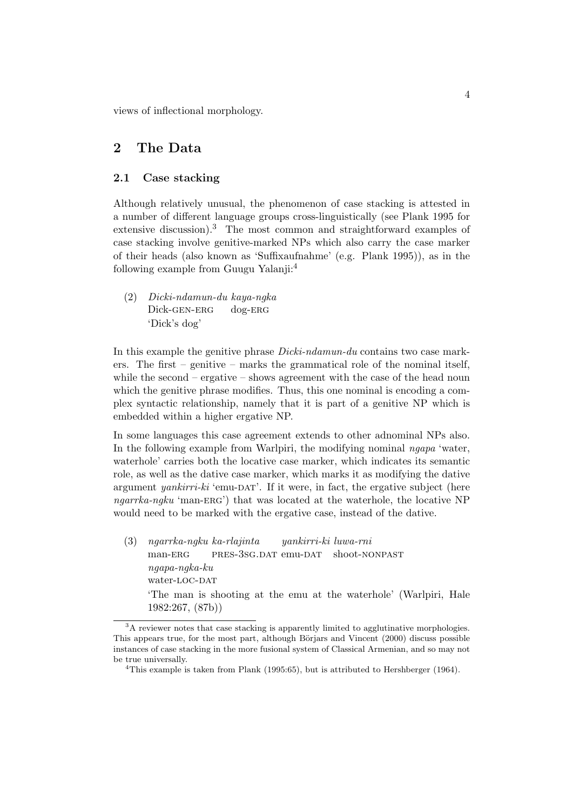views of inflectional morphology.

## 2 The Data

### 2.1 Case stacking

Although relatively unusual, the phenomenon of case stacking is attested in a number of different language groups cross-linguistically (see Plank 1995 for extensive discussion).<sup>3</sup> The most common and straightforward examples of case stacking involve genitive-marked NPs which also carry the case marker of their heads (also known as 'Suffixaufnahme' (e.g. Plank 1995)), as in the following example from Guugu Yalanji:<sup>4</sup>

(2) Dicki-ndamun-du kaya-ngka Dick-GEN-ERG dog-ERG 'Dick's dog'

In this example the genitive phrase Dicki-ndamun-du contains two case markers. The first – genitive – marks the grammatical role of the nominal itself, while the second – ergative – shows agreement with the case of the head noun which the genitive phrase modifies. Thus, this one nominal is encoding a complex syntactic relationship, namely that it is part of a genitive NP which is embedded within a higher ergative NP.

In some languages this case agreement extends to other adnominal NPs also. In the following example from Warlpiri, the modifying nominal ngapa 'water, waterhole' carries both the locative case marker, which indicates its semantic role, as well as the dative case marker, which marks it as modifying the dative argument *yankirri-ki* 'emu-DAT'. If it were, in fact, the ergative subject (here ngarrka-ngku 'man-erg') that was located at the waterhole, the locative NP would need to be marked with the ergative case, instead of the dative.

(3) ngarrka-ngku ka-rlajinta man-erg PRES-3SG.DAT emu-DAT shoot-NONPAST yankirri-ki luwa-rni ngapa-ngka-ku water-LOC-DAT 'The man is shooting at the emu at the waterhole' (Warlpiri, Hale 1982:267, (87b))

 $3A$  reviewer notes that case stacking is apparently limited to agglutinative morphologies. This appears true, for the most part, although Börjars and Vincent (2000) discuss possible instances of case stacking in the more fusional system of Classical Armenian, and so may not be true universally.

<sup>&</sup>lt;sup>4</sup>This example is taken from Plank (1995:65), but is attributed to Hershberger (1964).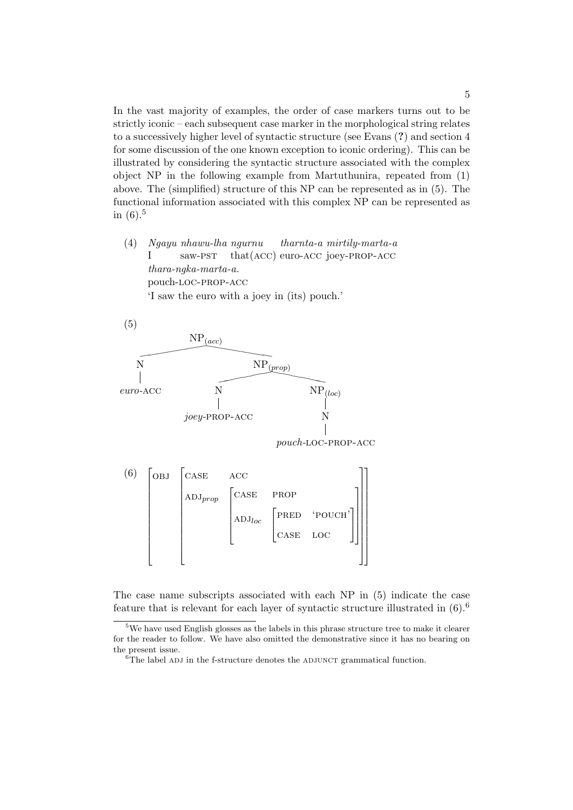In the vast majority of examples, the order of case markers turns out to be strictly iconic – each subsequent case marker in the morphological string relates to a successively higher level of syntactic structure (see Evans (?) and section 4 for some discussion of the one known exception to iconic ordering). This can be illustrated by considering the syntactic structure associated with the complex object NP in the following example from Martuthunira, repeated from (1) above. The (simplified) structure of this NP can be represented as in (5). The functional information associated with this complex NP can be represented as in  $(6).5$ 

(4) Ngayu nhawu-lha ngurnu  $\mathbf{I}$ saw-PST that(ACC) euro-ACC joey-PROP-ACC tharnta-a mirtily-marta-a thara-ngka-marta-a. pouch-loc-prop-acc 'I saw the euro with a joey in (its) pouch.'



The case name subscripts associated with each NP in (5) indicate the case feature that is relevant for each layer of syntactic structure illustrated in  $(6)$ .<sup>6</sup>

 $5$ We have used English glosses as the labels in this phrase structure tree to make it clearer for the reader to follow. We have also omitted the demonstrative since it has no bearing on the present issue.

 ${}^{6}$ The label ADJ in the f-structure denotes the ADJUNCT grammatical function.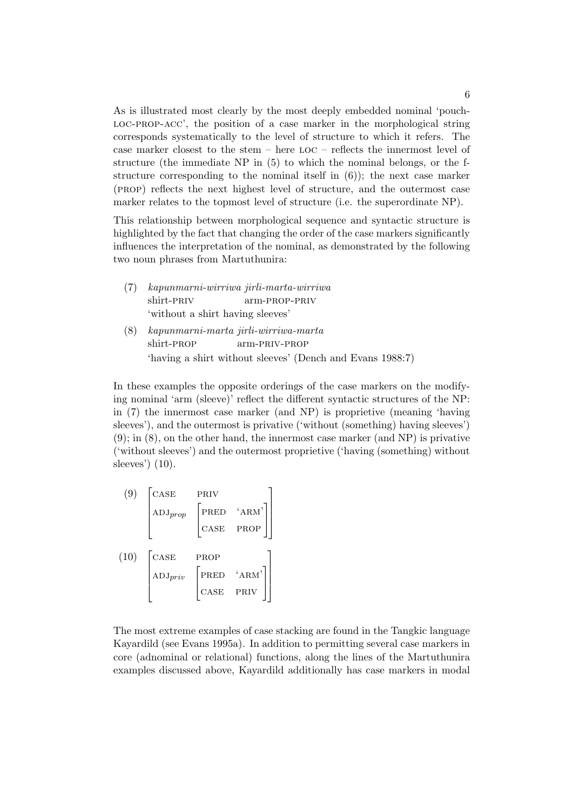As is illustrated most clearly by the most deeply embedded nominal 'pouchloc-prop-acc', the position of a case marker in the morphological string corresponds systematically to the level of structure to which it refers. The case marker closest to the stem – here loc – reflects the innermost level of structure (the immediate NP in (5) to which the nominal belongs, or the fstructure corresponding to the nominal itself in (6)); the next case marker (prop) reflects the next highest level of structure, and the outermost case marker relates to the topmost level of structure (i.e. the superordinate NP).

This relationship between morphological sequence and syntactic structure is highlighted by the fact that changing the order of the case markers significantly influences the interpretation of the nominal, as demonstrated by the following two noun phrases from Martuthunira:

- (7) kapunmarni-wirriwa jirli-marta-wirriwa shirt-priv arm-prop-priv 'without a shirt having sleeves'
- (8) kapunmarni-marta jirli-wirriwa-marta shirt-prop arm-priv-prop 'having a shirt without sleeves' (Dench and Evans 1988:7)

In these examples the opposite orderings of the case markers on the modifying nominal 'arm (sleeve)' reflect the different syntactic structures of the NP: in (7) the innermost case marker (and NP) is proprietive (meaning 'having sleeves'), and the outermost is privative ('without (something) having sleeves') (9); in (8), on the other hand, the innermost case marker (and NP) is privative ('without sleeves') and the outermost proprietive ('having (something) without sleeves') (10).

$$
(9) \begin{bmatrix} \text{CASE} & \text{PRIV} \\ \text{ADJ}_{prop} & \begin{bmatrix} \text{PRED} & ' \text{ARM'} \\ \text{CASE} & \text{PROP} \end{bmatrix} \end{bmatrix}
$$
  

$$
(10) \begin{bmatrix} \text{CASE} & \text{PROP} \\ \text{ADJ}_{priv} & \begin{bmatrix} \text{PRED} & ' \text{ARM'} \\ \text{CASE} & \text{PRIV} \end{bmatrix} \end{bmatrix}
$$

The most extreme examples of case stacking are found in the Tangkic language Kayardild (see Evans 1995a). In addition to permitting several case markers in core (adnominal or relational) functions, along the lines of the Martuthunira examples discussed above, Kayardild additionally has case markers in modal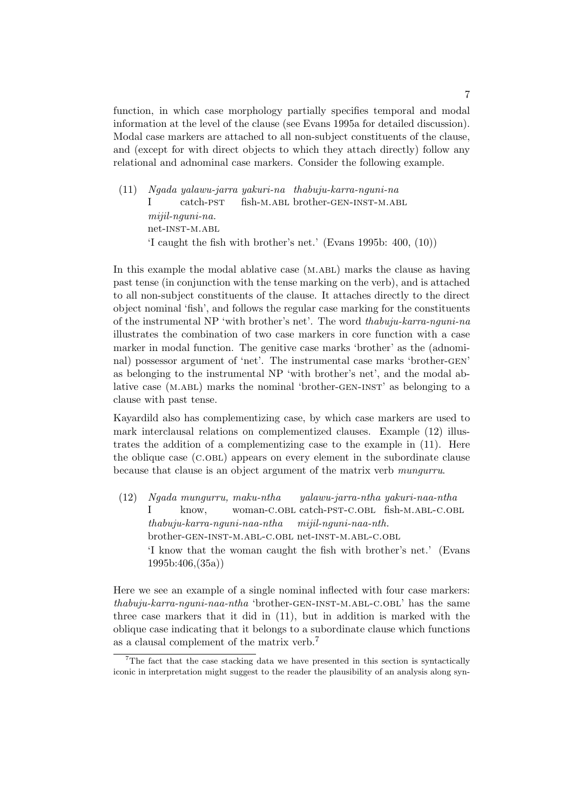function, in which case morphology partially specifies temporal and modal information at the level of the clause (see Evans 1995a for detailed discussion). Modal case markers are attached to all non-subject constituents of the clause, and (except for with direct objects to which they attach directly) follow any relational and adnominal case markers. Consider the following example.

(11) Ngada yalawu-jarra yakuri-na thabuju-karra-nguni-na I catch-PST fish-m.abl brother-gen-inst-m.abl mijil-nguni-na. net-inst-m.abl 'I caught the fish with brother's net.' (Evans 1995b: 400, (10))

In this example the modal ablative case (M.ABL) marks the clause as having past tense (in conjunction with the tense marking on the verb), and is attached to all non-subject constituents of the clause. It attaches directly to the direct object nominal 'fish', and follows the regular case marking for the constituents of the instrumental NP 'with brother's net'. The word thabuju-karra-nguni-na illustrates the combination of two case markers in core function with a case marker in modal function. The genitive case marks 'brother' as the (adnominal) possessor argument of 'net'. The instrumental case marks 'brother-gen' as belonging to the instrumental NP 'with brother's net', and the modal ablative case (M.ABL) marks the nominal 'brother-GEN-INST' as belonging to a clause with past tense.

Kayardild also has complementizing case, by which case markers are used to mark interclausal relations on complementized clauses. Example (12) illustrates the addition of a complementizing case to the example in (11). Here the oblique case (c.obl) appears on every element in the subordinate clause because that clause is an object argument of the matrix verb mungurru.

(12) Ngada mungurru, maku-ntha I know, woman-c.obl catch-pst-c.obl fish-m.abl-c.obl yalawu-jarra-ntha yakuri-naa-ntha thabuju-karra-nguni-naa-ntha brother-gen-inst-m.abl-c.obl net-inst-m.abl-c.obl mijil-nguni-naa-nth. 'I know that the woman caught the fish with brother's net.' (Evans 1995b:406,(35a))

Here we see an example of a single nominal inflected with four case markers: thabuju-karra-nguni-naa-ntha 'brother-gen-inst-m.abl-c.obl' has the same three case markers that it did in (11), but in addition is marked with the oblique case indicating that it belongs to a subordinate clause which functions as a clausal complement of the matrix verb.<sup>7</sup>

7

<sup>&</sup>lt;sup>7</sup>The fact that the case stacking data we have presented in this section is syntactically iconic in interpretation might suggest to the reader the plausibility of an analysis along syn-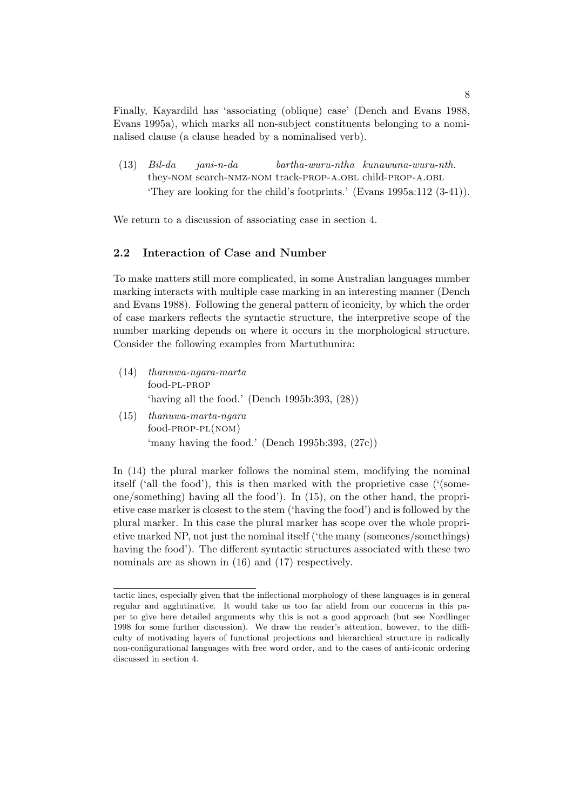Finally, Kayardild has 'associating (oblique) case' (Dench and Evans 1988, Evans 1995a), which marks all non-subject constituents belonging to a nominalised clause (a clause headed by a nominalised verb).

 $(13)$  Bil-da they-nom search-nmz-nom track-prop-a.obl child-prop-a.obl jani-n-da bartha-wuru-ntha kunawuna-wuru-nth. 'They are looking for the child's footprints.' (Evans 1995a:112 (3-41)).

We return to a discussion of associating case in section 4.

### 2.2 Interaction of Case and Number

To make matters still more complicated, in some Australian languages number marking interacts with multiple case marking in an interesting manner (Dench and Evans 1988). Following the general pattern of iconicity, by which the order of case markers reflects the syntactic structure, the interpretive scope of the number marking depends on where it occurs in the morphological structure. Consider the following examples from Martuthunira:

- (14) thanuwa-ngara-marta food-pl-prop 'having all the food.' (Dench 1995b:393, (28)) (15) thanuwa-marta-ngara food-prop-pl(nom)
	- 'many having the food.' (Dench 1995b:393, (27c))

In (14) the plural marker follows the nominal stem, modifying the nominal itself ('all the food'), this is then marked with the proprietive case ('(someone/something) having all the food'). In (15), on the other hand, the proprietive case marker is closest to the stem ('having the food') and is followed by the plural marker. In this case the plural marker has scope over the whole proprietive marked NP, not just the nominal itself ('the many (someones/somethings) having the food'). The different syntactic structures associated with these two nominals are as shown in (16) and (17) respectively.

tactic lines, especially given that the inflectional morphology of these languages is in general regular and agglutinative. It would take us too far afield from our concerns in this paper to give here detailed arguments why this is not a good approach (but see Nordlinger 1998 for some further discussion). We draw the reader's attention, however, to the difficulty of motivating layers of functional projections and hierarchical structure in radically non-configurational languages with free word order, and to the cases of anti-iconic ordering discussed in section 4.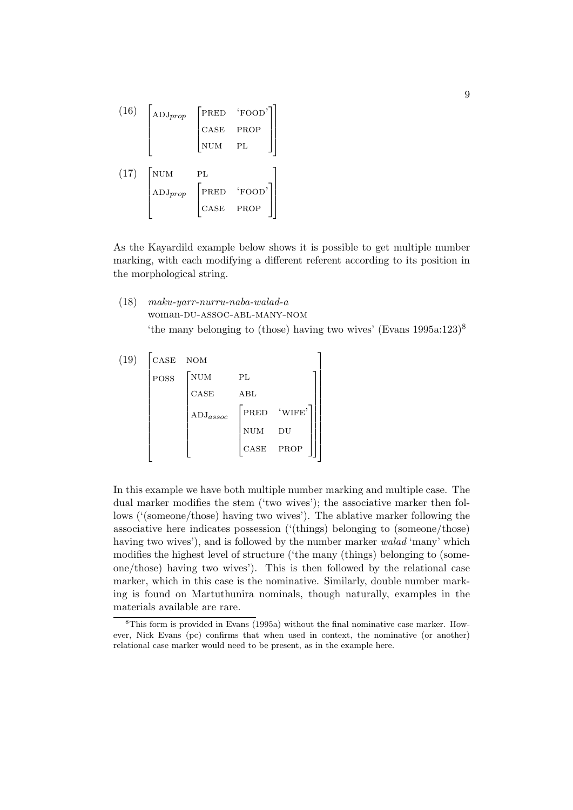| (16) | $\mathrm{ADJ}_{prop}$ |           | PRED 'FOOD  |
|------|-----------------------|-----------|-------------|
|      |                       | CASE PROP |             |
|      |                       | NUM       | PL          |
|      |                       |           |             |
| (17) | $\vert$ NUM           | PL        |             |
|      | $\text{ADJ}_{prop}$   |           | PRED 'FOOD' |

As the Kayardild example below shows it is possible to get multiple number marking, with each modifying a different referent according to its position in the morphological string.

(18) maku-yarr-nurru-naba-walad-a woman-du-assoc-abl-many-nom 'the many belonging to (those) having two wives' (Evans  $1995a:123$ )<sup>8</sup>

$$
(19)
$$
\n
$$
\begin{bmatrix}\n\text{CASE} & \text{NOM} \\
\text{POSS} & \begin{bmatrix}\n\text{NUM} & \text{PL} \\
\text{CASE} & \text{ABL} \\
\text{ADJassoc} & \begin{bmatrix}\n\text{PRED} & \text{'WIFE'} \\
\text{NUM} & \text{DU} \\
\text{CASE} & \text{PROP}\n\end{bmatrix}\n\end{bmatrix}
$$

In this example we have both multiple number marking and multiple case. The dual marker modifies the stem ('two wives'); the associative marker then follows ('(someone/those) having two wives'). The ablative marker following the associative here indicates possession ('(things) belonging to (someone/those) having two wives'), and is followed by the number marker *walad* 'many' which modifies the highest level of structure ('the many (things) belonging to (someone/those) having two wives'). This is then followed by the relational case marker, which in this case is the nominative. Similarly, double number marking is found on Martuthunira nominals, though naturally, examples in the materials available are rare.

<sup>8</sup>This form is provided in Evans (1995a) without the final nominative case marker. However, Nick Evans (pc) confirms that when used in context, the nominative (or another) relational case marker would need to be present, as in the example here.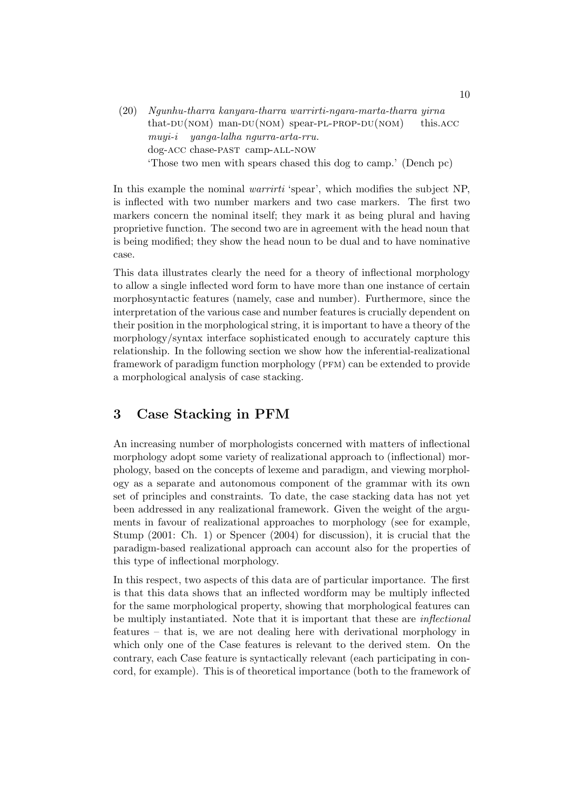(20) Ngunhu-tharra kanyara-tharra warrirti-ngara-marta-tharra yirna that-du(nom) man-du(nom) spear-pl-prop-du(nom) this.acc muyi-i dog-acc chase-past camp-all-now yanga-lalha ngurra-arta-rru. 'Those two men with spears chased this dog to camp.' (Dench pc)

In this example the nominal *warrirti* 'spear', which modifies the subject NP, is inflected with two number markers and two case markers. The first two markers concern the nominal itself; they mark it as being plural and having proprietive function. The second two are in agreement with the head noun that is being modified; they show the head noun to be dual and to have nominative case.

This data illustrates clearly the need for a theory of inflectional morphology to allow a single inflected word form to have more than one instance of certain morphosyntactic features (namely, case and number). Furthermore, since the interpretation of the various case and number features is crucially dependent on their position in the morphological string, it is important to have a theory of the morphology/syntax interface sophisticated enough to accurately capture this relationship. In the following section we show how the inferential-realizational framework of paradigm function morphology (pfm) can be extended to provide a morphological analysis of case stacking.

## 3 Case Stacking in PFM

An increasing number of morphologists concerned with matters of inflectional morphology adopt some variety of realizational approach to (inflectional) morphology, based on the concepts of lexeme and paradigm, and viewing morphology as a separate and autonomous component of the grammar with its own set of principles and constraints. To date, the case stacking data has not yet been addressed in any realizational framework. Given the weight of the arguments in favour of realizational approaches to morphology (see for example, Stump (2001: Ch. 1) or Spencer (2004) for discussion), it is crucial that the paradigm-based realizational approach can account also for the properties of this type of inflectional morphology.

In this respect, two aspects of this data are of particular importance. The first is that this data shows that an inflected wordform may be multiply inflected for the same morphological property, showing that morphological features can be multiply instantiated. Note that it is important that these are inflectional features – that is, we are not dealing here with derivational morphology in which only one of the Case features is relevant to the derived stem. On the contrary, each Case feature is syntactically relevant (each participating in concord, for example). This is of theoretical importance (both to the framework of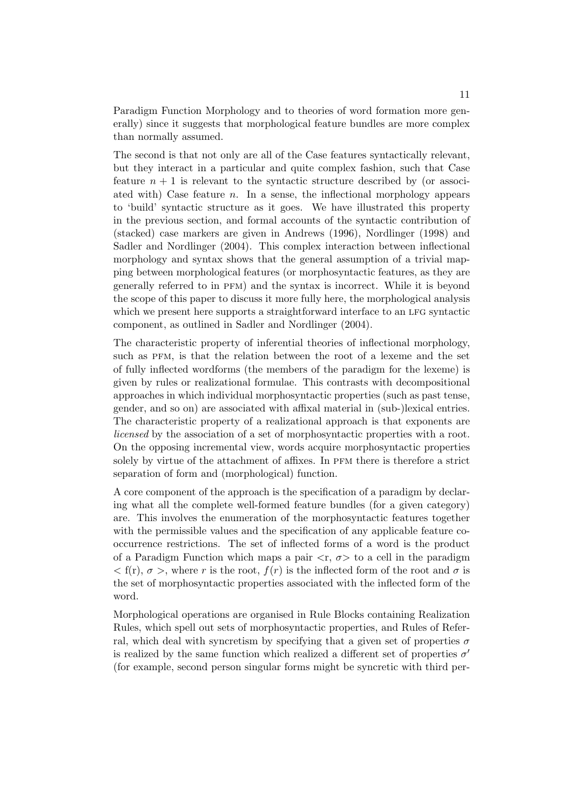Paradigm Function Morphology and to theories of word formation more generally) since it suggests that morphological feature bundles are more complex than normally assumed.

The second is that not only are all of the Case features syntactically relevant, but they interact in a particular and quite complex fashion, such that Case feature  $n + 1$  is relevant to the syntactic structure described by (or associated with) Case feature  $n$ . In a sense, the inflectional morphology appears to 'build' syntactic structure as it goes. We have illustrated this property in the previous section, and formal accounts of the syntactic contribution of (stacked) case markers are given in Andrews (1996), Nordlinger (1998) and Sadler and Nordlinger (2004). This complex interaction between inflectional morphology and syntax shows that the general assumption of a trivial mapping between morphological features (or morphosyntactic features, as they are generally referred to in pfm) and the syntax is incorrect. While it is beyond the scope of this paper to discuss it more fully here, the morphological analysis which we present here supports a straightforward interface to an LFG syntactic component, as outlined in Sadler and Nordlinger (2004).

The characteristic property of inferential theories of inflectional morphology, such as  $PFM$ , is that the relation between the root of a lexeme and the set of fully inflected wordforms (the members of the paradigm for the lexeme) is given by rules or realizational formulae. This contrasts with decompositional approaches in which individual morphosyntactic properties (such as past tense, gender, and so on) are associated with affixal material in (sub-)lexical entries. The characteristic property of a realizational approach is that exponents are licensed by the association of a set of morphosyntactic properties with a root. On the opposing incremental view, words acquire morphosyntactic properties solely by virtue of the attachment of affixes. In PFM there is therefore a strict separation of form and (morphological) function.

A core component of the approach is the specification of a paradigm by declaring what all the complete well-formed feature bundles (for a given category) are. This involves the enumeration of the morphosyntactic features together with the permissible values and the specification of any applicable feature cooccurrence restrictions. The set of inflected forms of a word is the product of a Paradigm Function which maps a pair  $\langle r, \sigma \rangle$  to a cell in the paradigm  $\langle f(r), \sigma \rangle$ , where r is the root,  $f(r)$  is the inflected form of the root and  $\sigma$  is the set of morphosyntactic properties associated with the inflected form of the word.

Morphological operations are organised in Rule Blocks containing Realization Rules, which spell out sets of morphosyntactic properties, and Rules of Referral, which deal with syncretism by specifying that a given set of properties  $\sigma$ is realized by the same function which realized a different set of properties  $\sigma'$ (for example, second person singular forms might be syncretic with third per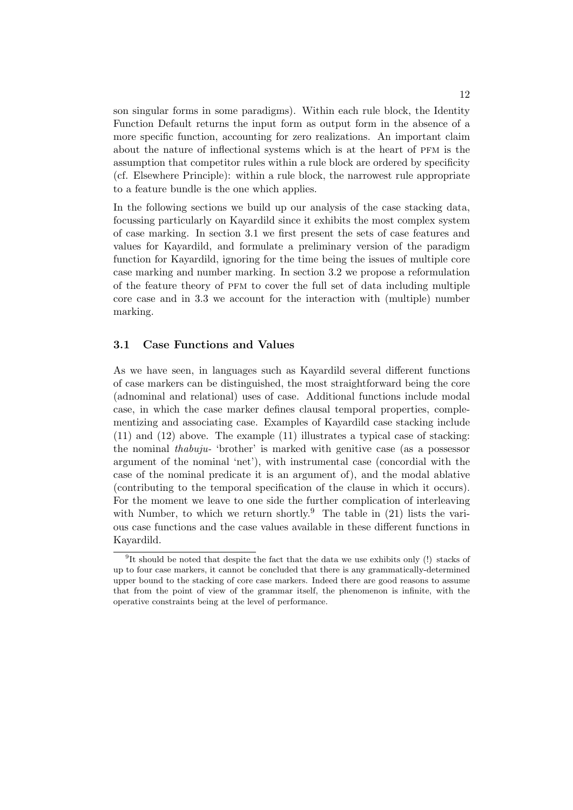son singular forms in some paradigms). Within each rule block, the Identity Function Default returns the input form as output form in the absence of a more specific function, accounting for zero realizations. An important claim about the nature of inflectional systems which is at the heart of pfm is the assumption that competitor rules within a rule block are ordered by specificity (cf. Elsewhere Principle): within a rule block, the narrowest rule appropriate to a feature bundle is the one which applies.

In the following sections we build up our analysis of the case stacking data, focussing particularly on Kayardild since it exhibits the most complex system of case marking. In section 3.1 we first present the sets of case features and values for Kayardild, and formulate a preliminary version of the paradigm function for Kayardild, ignoring for the time being the issues of multiple core case marking and number marking. In section 3.2 we propose a reformulation of the feature theory of pfm to cover the full set of data including multiple core case and in 3.3 we account for the interaction with (multiple) number marking.

#### 3.1 Case Functions and Values

As we have seen, in languages such as Kayardild several different functions of case markers can be distinguished, the most straightforward being the core (adnominal and relational) uses of case. Additional functions include modal case, in which the case marker defines clausal temporal properties, complementizing and associating case. Examples of Kayardild case stacking include (11) and (12) above. The example (11) illustrates a typical case of stacking: the nominal thabuju- 'brother' is marked with genitive case (as a possessor argument of the nominal 'net'), with instrumental case (concordial with the case of the nominal predicate it is an argument of), and the modal ablative (contributing to the temporal specification of the clause in which it occurs). For the moment we leave to one side the further complication of interleaving with Number, to which we return shortly.<sup>9</sup> The table in  $(21)$  lists the various case functions and the case values available in these different functions in Kayardild.

<sup>&</sup>lt;sup>9</sup>It should be noted that despite the fact that the data we use exhibits only (!) stacks of up to four case markers, it cannot be concluded that there is any grammatically-determined upper bound to the stacking of core case markers. Indeed there are good reasons to assume that from the point of view of the grammar itself, the phenomenon is infinite, with the operative constraints being at the level of performance.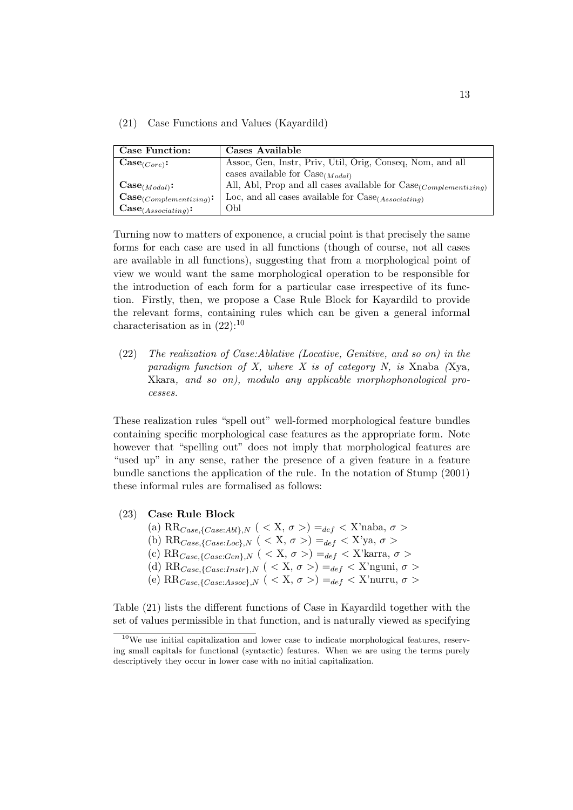#### (21) Case Functions and Values (Kayardild)

| <b>Case Function:</b>                   | Cases Available                                                              |
|-----------------------------------------|------------------------------------------------------------------------------|
| $\mathbf{Case}_{(Core)}$ :              | Assoc, Gen, Instr. Priv, Util, Orig, Conseq, Nom, and all                    |
|                                         | cases available for $\text{Case}_{(Modal)}$                                  |
| $\textbf{Case}_{(Modal)}$ :             | All, Abl, Prop and all cases available for $\text{Case}_{(Complementizing)}$ |
| $\textbf{Case}_{(Complementizing)}$ :   | Loc, and all cases available for $\text{Case}_{(Associating)}$               |
| $\operatorname{Case}_{(Associating)}$ : | OЫ                                                                           |

Turning now to matters of exponence, a crucial point is that precisely the same forms for each case are used in all functions (though of course, not all cases are available in all functions), suggesting that from a morphological point of view we would want the same morphological operation to be responsible for the introduction of each form for a particular case irrespective of its function. Firstly, then, we propose a Case Rule Block for Kayardild to provide the relevant forms, containing rules which can be given a general informal characterisation as in  $(22)$ :<sup>10</sup>

(22) The realization of Case:Ablative (Locative, Genitive, and so on) in the paradigm function of X, where X is of category N, is Xnaba (Xva, Xkara, and so on), modulo any applicable morphophonological processes.

These realization rules "spell out" well-formed morphological feature bundles containing specific morphological case features as the appropriate form. Note however that "spelling out" does not imply that morphological features are "used up" in any sense, rather the presence of a given feature in a feature bundle sanctions the application of the rule. In the notation of Stump (2001) these informal rules are formalised as follows:

- (23) Case Rule Block
	- (a) RR<sub>Case,{Case:Abl</sub>} $N$  ( < X,  $\sigma$  >) = def < X'naba,  $\sigma$  >
	- (b) RR<sub>Case,{Case:Loc</sub>} $N \leq X$ ,  $\sigma$  >) = def  $\lt X$ 'ya,  $\sigma$  >
	- (c) RR<sub>Case,{Case:Gen},N</sub> ( < X,  $\sigma$  >) =  $_{def}$  < X'karra,  $\sigma$  >
	- (d) RR<sub>Case,{Case:Instr}</sub>, $N$  ( < X,  $\sigma$  >) =  $_{def}$  < X'nguni,  $\sigma$  >
	- (e) RR<sub>Case,{Case:Assoc},N</sub> ( < X,  $\sigma$  >) =  $_{def}$  < X'nurru,  $\sigma$  >

Table (21) lists the different functions of Case in Kayardild together with the set of values permissible in that function, and is naturally viewed as specifying

<sup>10</sup>We use initial capitalization and lower case to indicate morphological features, reserving small capitals for functional (syntactic) features. When we are using the terms purely descriptively they occur in lower case with no initial capitalization.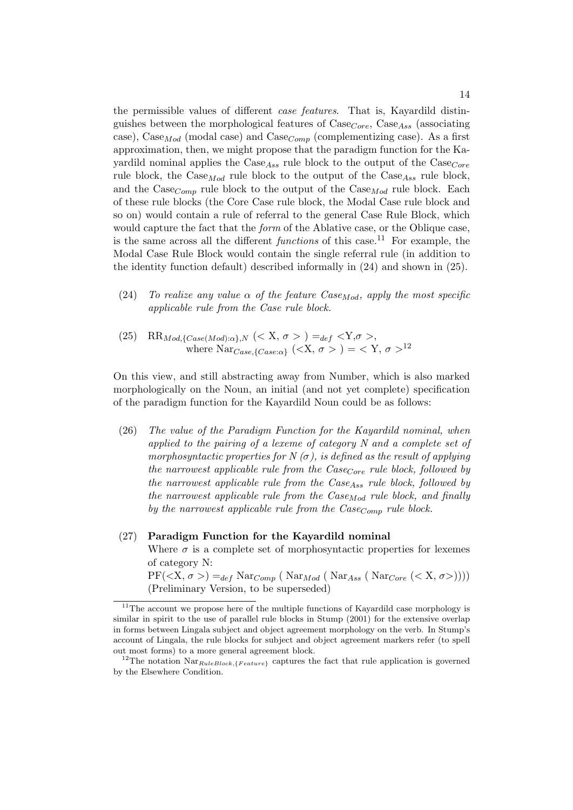the permissible values of different case features. That is, Kayardild distinguishes between the morphological features of  $\text{Case}_{Core}$ ,  $\text{Case}_{Ass}$  (associating case),  $\text{Case}_{Mod}$  (modal case) and  $\text{Case}_{Comp}$  (complementizing case). As a first approximation, then, we might propose that the paradigm function for the Kayardild nominal applies the  $\text{Case}_{Ass}$  rule block to the output of the  $\text{Case}_{Core}$ rule block, the  $\text{Case}_{Mod}$  rule block to the output of the  $\text{Case}_{Ass}$  rule block, and the  $\text{Case}_{Comp}$  rule block to the output of the  $\text{Case}_{Mod}$  rule block. Each of these rule blocks (the Core Case rule block, the Modal Case rule block and so on) would contain a rule of referral to the general Case Rule Block, which would capture the fact that the *form* of the Ablative case, or the Oblique case, is the same across all the different *functions* of this case.<sup>11</sup> For example, the Modal Case Rule Block would contain the single referral rule (in addition to the identity function default) described informally in (24) and shown in (25).

(24) To realize any value  $\alpha$  of the feature Case<sub>Mod</sub>, apply the most specific applicable rule from the Case rule block.

(25) 
$$
RR_{Mod, \{Case(Mod): \alpha\}, N} \left( \langle X, \sigma \rangle \right) =_{def} \langle Y, \sigma \rangle
$$
, where  $Nar_{Case, \{Case:\alpha\}} \left( \langle X, \sigma \rangle \right) = \langle Y, \sigma \rangle^{12}$ 

On this view, and still abstracting away from Number, which is also marked morphologically on the Noun, an initial (and not yet complete) specification of the paradigm function for the Kayardild Noun could be as follows:

(26) The value of the Paradigm Function for the Kayardild nominal, when applied to the pairing of a lexeme of category N and a complete set of morphosyntactic properties for  $N(\sigma)$ , is defined as the result of applying the narrowest applicable rule from the  $Case_{Core}$  rule block, followed by the narrowest applicable rule from the  $Case_{Ass}$  rule block, followed by the narrowest applicable rule from the  $Case_{Mod}$  rule block, and finally by the narrowest applicable rule from the  $Case_{Comp}$  rule block.

#### (27) Paradigm Function for the Kayardild nominal

Where  $\sigma$  is a complete set of morphosyntactic properties for lexemes of category N:

 $PF(\langle X, \sigma \rangle) =_{def} \text{Nar}_{Comp} (\text{Nar}_{Mod} (\text{Nar}_{Ass} (\text{Nar}_{Core} (\langle X, \sigma \rangle))))$ (Preliminary Version, to be superseded)

 $11$ The account we propose here of the multiple functions of Kayardild case morphology is similar in spirit to the use of parallel rule blocks in Stump (2001) for the extensive overlap in forms between Lingala subject and object agreement morphology on the verb. In Stump's account of Lingala, the rule blocks for subject and object agreement markers refer (to spell out most forms) to a more general agreement block.

<sup>&</sup>lt;sup>12</sup>The notation Nar<sub>RuleBlock</sub>,{F<sub>eature}</sub> captures the fact that rule application is governed by the Elsewhere Condition.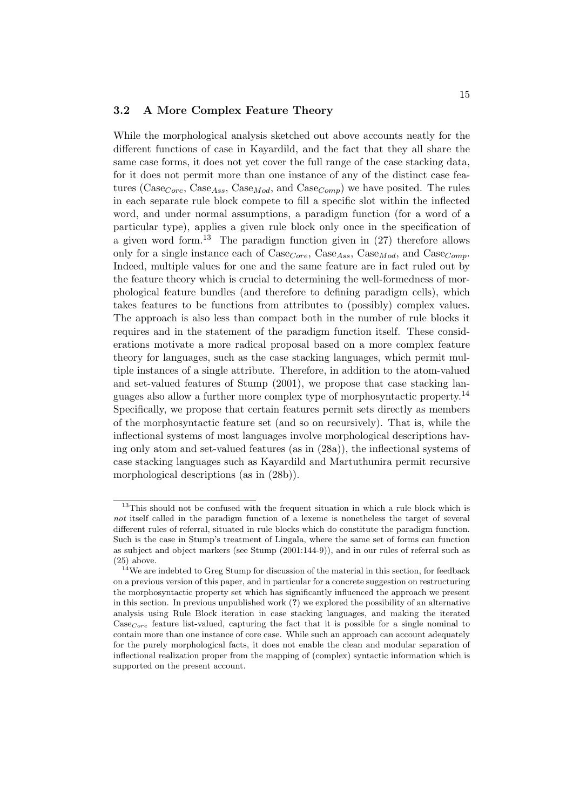#### 3.2 A More Complex Feature Theory

While the morphological analysis sketched out above accounts neatly for the different functions of case in Kayardild, and the fact that they all share the same case forms, it does not yet cover the full range of the case stacking data, for it does not permit more than one instance of any of the distinct case features ( $\text{Case}_{Core}$ ,  $\text{Case}_{Ass}$ ,  $\text{Case}_{Mod}$ , and  $\text{Case}_{Comp}$ ) we have posited. The rules in each separate rule block compete to fill a specific slot within the inflected word, and under normal assumptions, a paradigm function (for a word of a particular type), applies a given rule block only once in the specification of a given word form.<sup>13</sup> The paradigm function given in  $(27)$  therefore allows only for a single instance each of  $\text{Case}_{Core}$ ,  $\text{Case}_{Ass}$ ,  $\text{Case}_{Mod}$ , and  $\text{Case}_{Comp}$ . Indeed, multiple values for one and the same feature are in fact ruled out by the feature theory which is crucial to determining the well-formedness of morphological feature bundles (and therefore to defining paradigm cells), which takes features to be functions from attributes to (possibly) complex values. The approach is also less than compact both in the number of rule blocks it requires and in the statement of the paradigm function itself. These considerations motivate a more radical proposal based on a more complex feature theory for languages, such as the case stacking languages, which permit multiple instances of a single attribute. Therefore, in addition to the atom-valued and set-valued features of Stump (2001), we propose that case stacking languages also allow a further more complex type of morphosyntactic property.<sup>14</sup> Specifically, we propose that certain features permit sets directly as members of the morphosyntactic feature set (and so on recursively). That is, while the inflectional systems of most languages involve morphological descriptions having only atom and set-valued features (as in (28a)), the inflectional systems of case stacking languages such as Kayardild and Martuthunira permit recursive morphological descriptions (as in (28b)).

<sup>&</sup>lt;sup>13</sup>This should not be confused with the frequent situation in which a rule block which is not itself called in the paradigm function of a lexeme is nonetheless the target of several different rules of referral, situated in rule blocks which do constitute the paradigm function. Such is the case in Stump's treatment of Lingala, where the same set of forms can function as subject and object markers (see Stump (2001:144-9)), and in our rules of referral such as (25) above.

 $14$ We are indebted to Greg Stump for discussion of the material in this section, for feedback on a previous version of this paper, and in particular for a concrete suggestion on restructuring the morphosyntactic property set which has significantly influenced the approach we present in this section. In previous unpublished work (?) we explored the possibility of an alternative analysis using Rule Block iteration in case stacking languages, and making the iterated  $\text{Case}_{Core}$  feature list-valued, capturing the fact that it is possible for a single nominal to contain more than one instance of core case. While such an approach can account adequately for the purely morphological facts, it does not enable the clean and modular separation of inflectional realization proper from the mapping of (complex) syntactic information which is supported on the present account.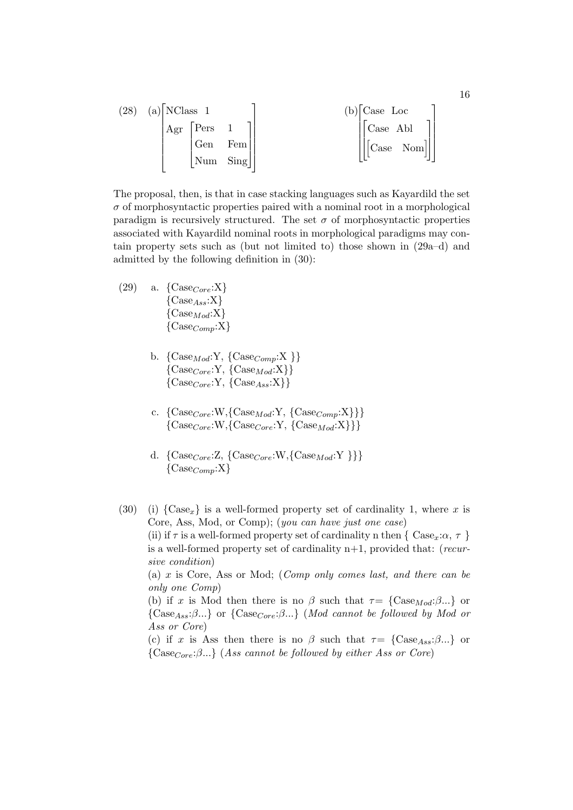$$
(28) (a) \begin{bmatrix} NClass 1 \\ Agr \\ Gen \\ Num \quad Sing \end{bmatrix}
$$
 (b) 
$$
\begin{bmatrix} Case Loc \\ Case Abl \\ [Case Abl] \\ [Case Nom] \end{bmatrix}
$$

The proposal, then, is that in case stacking languages such as Kayardild the set  $\sigma$  of morphosyntactic properties paired with a nominal root in a morphological paradigm is recursively structured. The set  $\sigma$  of morphosyntactic properties associated with Kayardild nominal roots in morphological paradigms may contain property sets such as (but not limited to) those shown in (29a–d) and admitted by the following definition in (30):

- (29) a.  $\{Case_{Core}: X\}$  ${ \text{Case } }_{\text{Ass}}:X}$  ${ \text{Case}_{Mod}: X }$  ${ {\rm Case }}_{Comn}:X}$ 
	- b.  ${ \text{Case}_{Mod}: Y, \text{Case}_{Comp}: X } }$  ${ \text{Case}_{Core}:Y, \{ \text{Case}_{Mod}:X \} }$  ${ \text{Case}_{Core}:Y, \text{Case}_{Ass}:X} }$
	- c.  ${ \text{Case}_{Core}:W, \text{Case}_{Mod}:Y, \text{Case}_{Comp}:X} \} }$  ${ \text{Case}_{Core}:W, \text{Case}_{Core}:Y, \text{Case}_{Mod}:X} \} }$
	- d.  ${Case}_{Core}: \mathbb{Z}, {Case}_{Core}: W, {Case}_{Mod}: Y \}$  ${ {\rm Case }}_{Comp}:X}$
- (30) (i)  ${Case_x}$  is a well-formed property set of cardinality 1, where x is Core, Ass, Mod, or Comp); (you can have just one case) (ii) if  $\tau$  is a well-formed property set of cardinality n then  $\{ \text{Case}_x:\alpha, \tau \}$ is a well-formed property set of cardinality  $n+1$ , provided that: (*recur*sive condition) (a)  $x$  is Core, Ass or Mod; (*Comp only comes last, and there can be* only one Comp) (b) if x is Mod then there is no  $\beta$  such that  $\tau = \{Case_{Mod}: \beta...\}$  or  ${ {\rm Case }_{Ass}}$ : $\beta ...$  or  ${ {\rm Case }_{Core}}$ : $\beta ...$  (Mod cannot be followed by Mod or Ass or Core)

(c) if x is Ass then there is no  $\beta$  such that  $\tau = \{Case_{Ass}:\beta...\}$  or  ${ {\rm[Case}_{Core:}\beta... } }$  (Ass cannot be followed by either Ass or Core)

16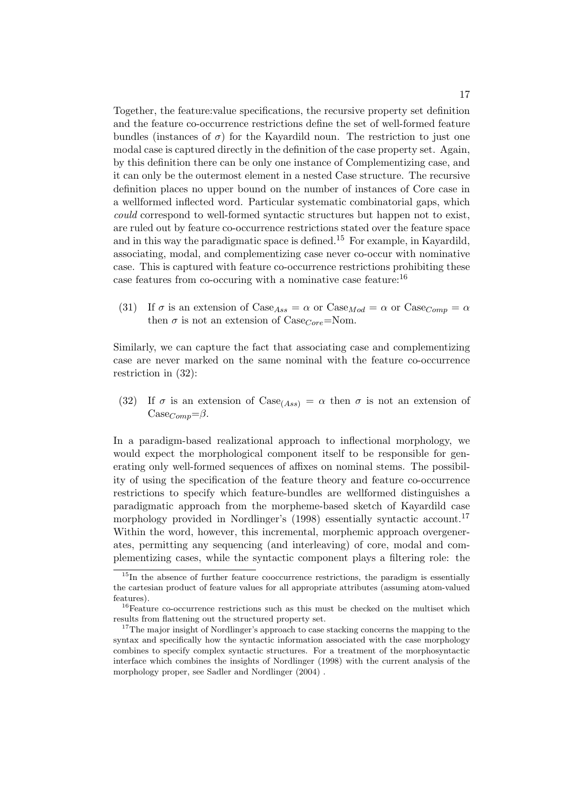Together, the feature:value specifications, the recursive property set definition and the feature co-occurrence restrictions define the set of well-formed feature bundles (instances of  $\sigma$ ) for the Kayardild noun. The restriction to just one modal case is captured directly in the definition of the case property set. Again, by this definition there can be only one instance of Complementizing case, and it can only be the outermost element in a nested Case structure. The recursive definition places no upper bound on the number of instances of Core case in a wellformed inflected word. Particular systematic combinatorial gaps, which could correspond to well-formed syntactic structures but happen not to exist, are ruled out by feature co-occurrence restrictions stated over the feature space and in this way the paradigmatic space is defined.<sup>15</sup> For example, in Kayardild, associating, modal, and complementizing case never co-occur with nominative case. This is captured with feature co-occurrence restrictions prohibiting these case features from co-occuring with a nominative case feature:<sup>16</sup>

(31) If  $\sigma$  is an extension of Case<sub>Ass</sub> =  $\alpha$  or Case<sub>Mod</sub> =  $\alpha$  or Case<sub>Comp</sub> =  $\alpha$ then  $\sigma$  is not an extension of Case<sub>Core</sub>=Nom.

Similarly, we can capture the fact that associating case and complementizing case are never marked on the same nominal with the feature co-occurrence restriction in (32):

(32) If  $\sigma$  is an extension of Case<sub>(Ass)</sub> =  $\alpha$  then  $\sigma$  is not an extension of  $\text{Case}_{Comp} = \beta$ .

In a paradigm-based realizational approach to inflectional morphology, we would expect the morphological component itself to be responsible for generating only well-formed sequences of affixes on nominal stems. The possibility of using the specification of the feature theory and feature co-occurrence restrictions to specify which feature-bundles are wellformed distinguishes a paradigmatic approach from the morpheme-based sketch of Kayardild case morphology provided in Nordlinger's (1998) essentially syntactic account.<sup>17</sup> Within the word, however, this incremental, morphemic approach overgenerates, permitting any sequencing (and interleaving) of core, modal and complementizing cases, while the syntactic component plays a filtering role: the

<sup>&</sup>lt;sup>15</sup>In the absence of further feature cooccurrence restrictions, the paradigm is essentially the cartesian product of feature values for all appropriate attributes (assuming atom-valued features).

 $16$ Feature co-occurrence restrictions such as this must be checked on the multiset which results from flattening out the structured property set.

<sup>&</sup>lt;sup>17</sup>The major insight of Nordlinger's approach to case stacking concerns the mapping to the syntax and specifically how the syntactic information associated with the case morphology combines to specify complex syntactic structures. For a treatment of the morphosyntactic interface which combines the insights of Nordlinger (1998) with the current analysis of the morphology proper, see Sadler and Nordlinger (2004) .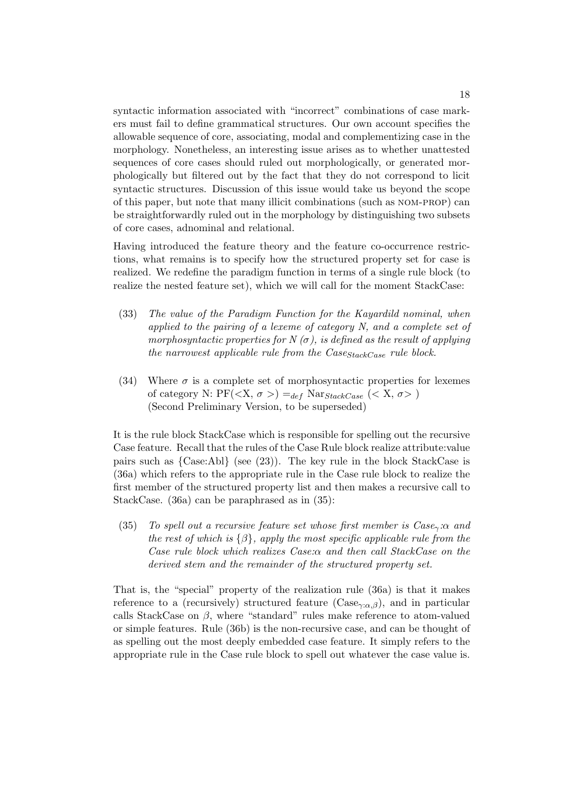syntactic information associated with "incorrect" combinations of case markers must fail to define grammatical structures. Our own account specifies the allowable sequence of core, associating, modal and complementizing case in the morphology. Nonetheless, an interesting issue arises as to whether unattested sequences of core cases should ruled out morphologically, or generated morphologically but filtered out by the fact that they do not correspond to licit syntactic structures. Discussion of this issue would take us beyond the scope of this paper, but note that many illicit combinations (such as nom-prop) can be straightforwardly ruled out in the morphology by distinguishing two subsets of core cases, adnominal and relational.

Having introduced the feature theory and the feature co-occurrence restrictions, what remains is to specify how the structured property set for case is realized. We redefine the paradigm function in terms of a single rule block (to realize the nested feature set), which we will call for the moment StackCase:

- (33) The value of the Paradigm Function for the Kayardild nominal, when applied to the pairing of a lexeme of category N, and a complete set of morphosyntactic properties for  $N(\sigma)$ , is defined as the result of applying the narrowest applicable rule from the  $\text{Case}_{StackCase}$  rule block.
- (34) Where  $\sigma$  is a complete set of morphosyntactic properties for lexemes of category N:  $PF(< X, \sigma>) =_{def} \text{Nar}_{StackCase} (< X, \sigma)$ (Second Preliminary Version, to be superseded)

It is the rule block StackCase which is responsible for spelling out the recursive Case feature. Recall that the rules of the Case Rule block realize attribute:value pairs such as  ${Case:}$  Abl  $(see (23))$ . The key rule in the block StackCase is (36a) which refers to the appropriate rule in the Case rule block to realize the first member of the structured property list and then makes a recursive call to StackCase. (36a) can be paraphrased as in (35):

(35) To spell out a recursive feature set whose first member is  $Case_{\gamma}:\alpha$  and the rest of which is  $\{\beta\}$ , apply the most specific applicable rule from the Case rule block which realizes Case:α and then call StackCase on the derived stem and the remainder of the structured property set.

That is, the "special" property of the realization rule (36a) is that it makes reference to a (recursively) structured feature (Case<sub>γ: $\alpha$ , $\beta$ ), and in particular</sub> calls StackCase on  $\beta$ , where "standard" rules make reference to atom-valued or simple features. Rule (36b) is the non-recursive case, and can be thought of as spelling out the most deeply embedded case feature. It simply refers to the appropriate rule in the Case rule block to spell out whatever the case value is.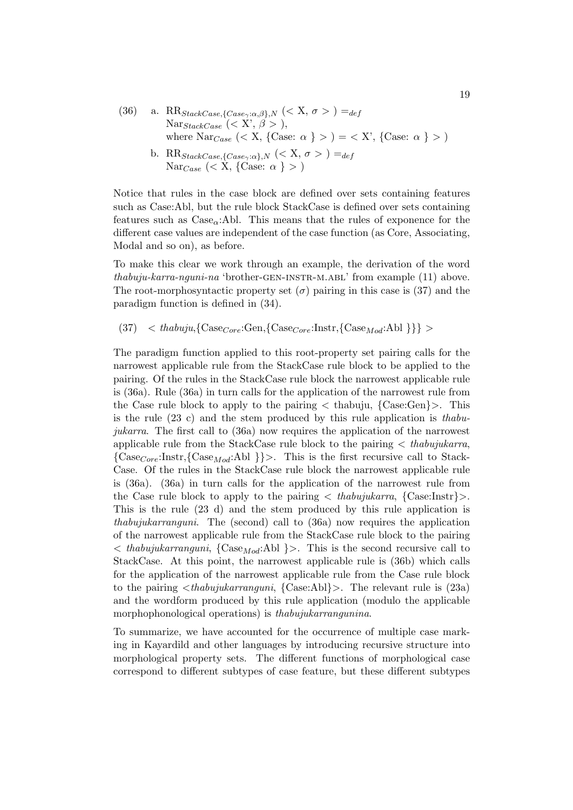(36) a. RR $_{StackCase, \{Case \gamma : \alpha, \beta\}, N}$  (< X,  $\sigma$  > ) = def  $\text{Nar}_{StackCase}(*X*^\prime, \beta > ),$ where Nar<sub>Case</sub> (< X, {Case:  $\alpha$  } > ) = < X', {Case:  $\alpha$  } > )

b. RR<sub>StackCase</sub>, 
$$
\{Case_{\gamma}:\alpha\}, N
$$
 ( $\langle X, \sigma \rangle$ ) = $def$   
Nar<sub>Case</sub> ( $\langle X, \{Case: \alpha \} \rangle$ )

Notice that rules in the case block are defined over sets containing features such as Case:Abl, but the rule block StackCase is defined over sets containing features such as  $\text{Case}_{\alpha}:\text{Abl.}$  This means that the rules of exponence for the different case values are independent of the case function (as Core, Associating, Modal and so on), as before.

To make this clear we work through an example, the derivation of the word thabuju-karra-nguni-na 'brother-gen-instr-m.abl' from example (11) above. The root-morphosyntactic property set  $(\sigma)$  pairing in this case is (37) and the paradigm function is defined in (34).

(37)  $\langle$  thabuju, {Case<sub>Core</sub>:Gen, {Case<sub>Core</sub>:Instr, {Case<sub>Mod</sub>:Abl }}}

The paradigm function applied to this root-property set pairing calls for the narrowest applicable rule from the StackCase rule block to be applied to the pairing. Of the rules in the StackCase rule block the narrowest applicable rule is (36a). Rule (36a) in turn calls for the application of the narrowest rule from the Case rule block to apply to the pairing  $\langle$  thabuju,  ${ {\rm Case:} Gen} \rangle$ . This is the rule  $(23 \text{ c})$  and the stem produced by this rule application is thabujukarra. The first call to (36a) now requires the application of the narrowest applicable rule from the StackCase rule block to the pairing  $\lt$  thabujukarra,  ${ \text{Case}_{Core}: \text{Instr}, \text{Case}_{Mod}: Abl } \} > .$  This is the first recursive call to Stack-Case. Of the rules in the StackCase rule block the narrowest applicable rule is (36a). (36a) in turn calls for the application of the narrowest rule from the Case rule block to apply to the pairing  $\langle$  thabujukarra, {Case:Instr}>. This is the rule (23 d) and the stem produced by this rule application is thabujukarranguni. The (second) call to (36a) now requires the application of the narrowest applicable rule from the StackCase rule block to the pairing  $\langle$  thabujukarranguni, {Case<sub>Mod</sub>:Abl}>. This is the second recursive call to StackCase. At this point, the narrowest applicable rule is (36b) which calls for the application of the narrowest applicable rule from the Case rule block to the pairing  $\langle$ thabujukarranguni, {Case:Abl}>. The relevant rule is (23a) and the wordform produced by this rule application (modulo the applicable morphophonological operations) is thabujukarrangunina.

To summarize, we have accounted for the occurrence of multiple case marking in Kayardild and other languages by introducing recursive structure into morphological property sets. The different functions of morphological case correspond to different subtypes of case feature, but these different subtypes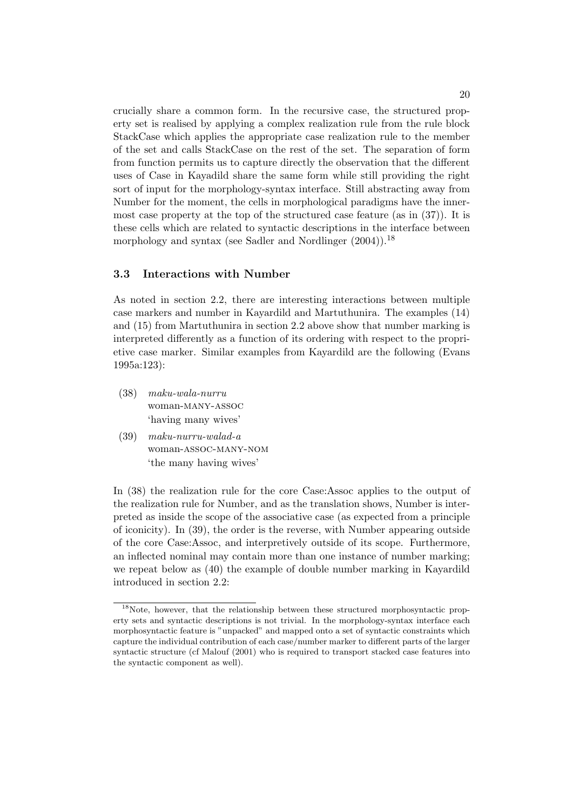crucially share a common form. In the recursive case, the structured property set is realised by applying a complex realization rule from the rule block StackCase which applies the appropriate case realization rule to the member of the set and calls StackCase on the rest of the set. The separation of form from function permits us to capture directly the observation that the different uses of Case in Kayadild share the same form while still providing the right sort of input for the morphology-syntax interface. Still abstracting away from Number for the moment, the cells in morphological paradigms have the innermost case property at the top of the structured case feature (as in (37)). It is these cells which are related to syntactic descriptions in the interface between morphology and syntax (see Sadler and Nordlinger  $(2004)$ ).<sup>18</sup>

#### 3.3 Interactions with Number

As noted in section 2.2, there are interesting interactions between multiple case markers and number in Kayardild and Martuthunira. The examples (14) and (15) from Martuthunira in section 2.2 above show that number marking is interpreted differently as a function of its ordering with respect to the proprietive case marker. Similar examples from Kayardild are the following (Evans 1995a:123):

- (38) maku-wala-nurru woman-many-assoc 'having many wives'
- (39) maku-nurru-walad-a woman-assoc-many-nom 'the many having wives'

In (38) the realization rule for the core Case:Assoc applies to the output of the realization rule for Number, and as the translation shows, Number is interpreted as inside the scope of the associative case (as expected from a principle of iconicity). In (39), the order is the reverse, with Number appearing outside of the core Case:Assoc, and interpretively outside of its scope. Furthermore, an inflected nominal may contain more than one instance of number marking; we repeat below as (40) the example of double number marking in Kayardild introduced in section 2.2:

 $18$ Note, however, that the relationship between these structured morphosyntactic property sets and syntactic descriptions is not trivial. In the morphology-syntax interface each morphosyntactic feature is "unpacked" and mapped onto a set of syntactic constraints which capture the individual contribution of each case/number marker to different parts of the larger syntactic structure (cf Malouf (2001) who is required to transport stacked case features into the syntactic component as well).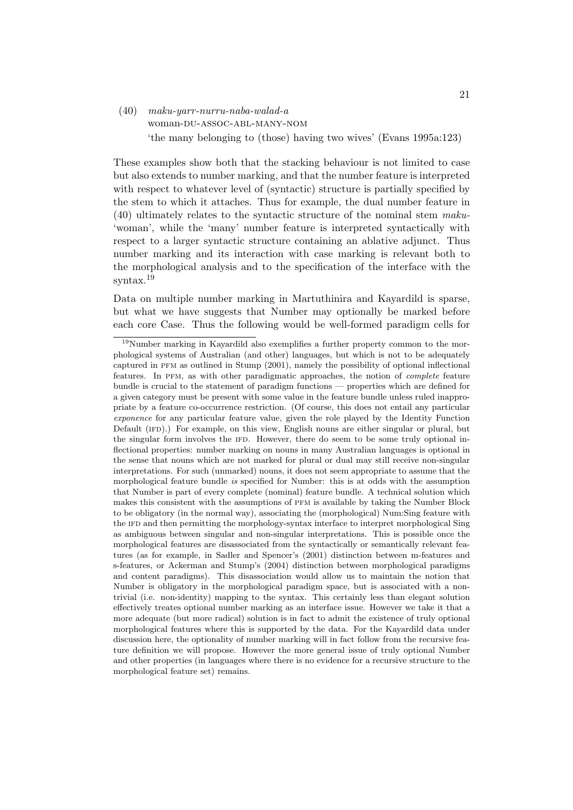## (40) maku-yarr-nurru-naba-walad-a woman-du-assoc-abl-many-nom 'the many belonging to (those) having two wives' (Evans 1995a:123)

These examples show both that the stacking behaviour is not limited to case but also extends to number marking, and that the number feature is interpreted with respect to whatever level of (syntactic) structure is partially specified by the stem to which it attaches. Thus for example, the dual number feature in (40) ultimately relates to the syntactic structure of the nominal stem maku- 'woman', while the 'many' number feature is interpreted syntactically with respect to a larger syntactic structure containing an ablative adjunct. Thus number marking and its interaction with case marking is relevant both to the morphological analysis and to the specification of the interface with the syntax.<sup>19</sup>

Data on multiple number marking in Martuthinira and Kayardild is sparse, but what we have suggests that Number may optionally be marked before each core Case. Thus the following would be well-formed paradigm cells for

<sup>19</sup>Number marking in Kayardild also exemplifies a further property common to the morphological systems of Australian (and other) languages, but which is not to be adequately captured in  $PFM$  as outlined in Stump (2001), namely the possibility of optional inflectional features. In PFM, as with other paradigmatic approaches, the notion of *complete* feature bundle is crucial to the statement of paradigm functions — properties which are defined for a given category must be present with some value in the feature bundle unless ruled inappropriate by a feature co-occurrence restriction. (Of course, this does not entail any particular exponence for any particular feature value, given the role played by the Identity Function Default (IFD).) For example, on this view, English nouns are either singular or plural, but the singular form involves the IFD. However, there do seem to be some truly optional inflectional properties: number marking on nouns in many Australian languages is optional in the sense that nouns which are not marked for plural or dual may still receive non-singular interpretations. For such (unmarked) nouns, it does not seem appropriate to assume that the morphological feature bundle is specified for Number: this is at odds with the assumption that Number is part of every complete (nominal) feature bundle. A technical solution which makes this consistent with the assumptions of pfm is available by taking the Number Block to be obligatory (in the normal way), associating the (morphological) Num:Sing feature with the ifd and then permitting the morphology-syntax interface to interpret morphological Sing as ambiguous between singular and non-singular interpretations. This is possible once the morphological features are disassociated from the syntactically or semantically relevant features (as for example, in Sadler and Spencer's (2001) distinction between m-features and s-features, or Ackerman and Stump's (2004) distinction between morphological paradigms and content paradigms). This disassociation would allow us to maintain the notion that Number is obligatory in the morphological paradigm space, but is associated with a nontrivial (i.e. non-identity) mapping to the syntax. This certainly less than elegant solution effectively treates optional number marking as an interface issue. However we take it that a more adequate (but more radical) solution is in fact to admit the existence of truly optional morphological features where this is supported by the data. For the Kayardild data under discussion here, the optionality of number marking will in fact follow from the recursive feature definition we will propose. However the more general issue of truly optional Number and other properties (in languages where there is no evidence for a recursive structure to the morphological feature set) remains.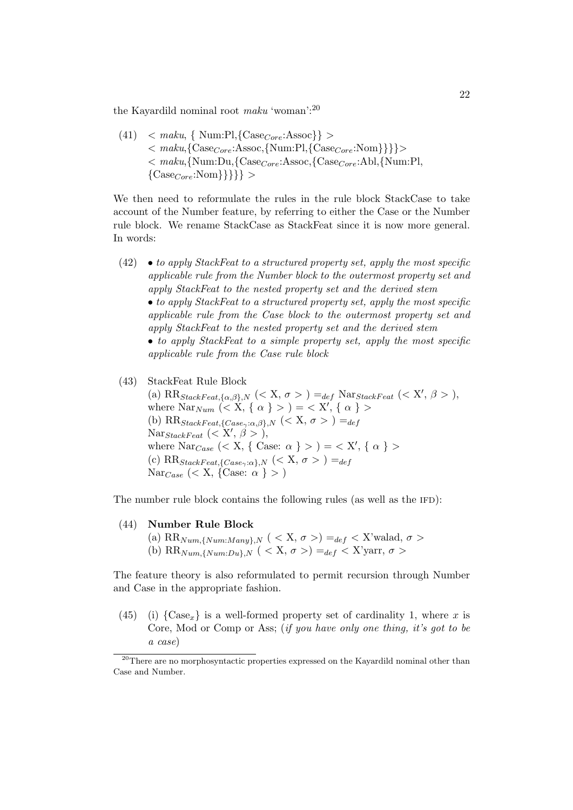the Kayardild nominal root maku 'woman':<sup>20</sup>

 $(41)$  < maku, { Num:Pl, {Case<sub>Core</sub>:Assoc}} >  $\langle \text{maku}, \{\text{Case}_{Core}: \text{Assoc}, \{\text{Num}: \text{Pl}, \{\text{Case}_{Core}: \text{Nom}\}\}\}\rangle$  $<$  maku,{Num:Du,{Case<sub>Core</sub>:Assoc,{Case<sub>Core</sub>:Abl,{Num:Pl,}}  $\{Case_{Core}: \text{Nom}\}\}\$ 

We then need to reformulate the rules in the rule block StackCase to take account of the Number feature, by referring to either the Case or the Number rule block. We rename StackCase as StackFeat since it is now more general. In words:

(42) • to apply StackFeat to a structured property set, apply the most specific applicable rule from the Number block to the outermost property set and apply StackFeat to the nested property set and the derived stem

• to apply StackFeat to a structured property set, apply the most specific applicable rule from the Case block to the outermost property set and apply StackFeat to the nested property set and the derived stem

• to apply StackFeat to a simple property set, apply the most specific applicable rule from the Case rule block

(43) StackFeat Rule Block

(a) RR<sub>StackFeat</sub>,{ $_{\alpha,\beta}$ }, $_N$  (< X,  $\sigma$  > ) =  $_{def}$  Nar<sub>StackFeat</sub> (< X',  $\beta$  > ), where  $\text{Nar}_{Num} (\langle \hat{X}, \{\alpha\} \rangle ) = \langle X', \{\alpha\} \rangle$ (b) RR $_{Stack Feat, \{Case_{\gamma}:\alpha,\beta\},N}$  (< X,  $\sigma$  > ) =  $_{def}$  $\text{Nar}_{Stack Fact} (\langle X', \hat{\beta} \rangle),$ where Nar<sub>Case</sub> (< X, { Case:  $\alpha$  } > ) = < X', {  $\alpha$  } > (c) RR $_{Stack Fact, \{Case_{\gamma}:\alpha\}, N}$  (< X,  $\sigma$  > ) = def Nar<sub>Case</sub> (< X, {Case:  $\alpha$  } > )

The number rule block contains the following rules (as well as the IFD):

(44) Number Rule Block

(a) RR<sub>Num,{Num:Many}</sub>, $N \leq X, \sigma >$ } =def < X'walad,  $\sigma >$ (b)  $\text{RR}_{Num, \{Num: Du\}, N}$  ( < X,  $\sigma$  >) =  $_{def}$  < X'yarr,  $\sigma$  >

The feature theory is also reformulated to permit recursion through Number and Case in the appropriate fashion.

(45) (i)  ${Case<sub>x</sub>}$  is a well-formed property set of cardinality 1, where x is Core, Mod or Comp or Ass; (if you have only one thing, it's got to be a case)

<sup>&</sup>lt;sup>20</sup>There are no morphosyntactic properties expressed on the Kayardild nominal other than Case and Number.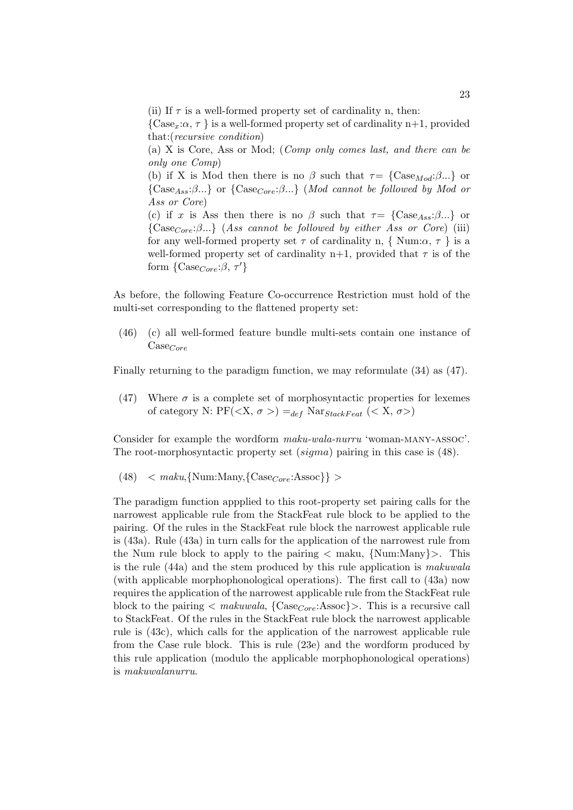(ii) If  $\tau$  is a well-formed property set of cardinality n, then:

 ${Case<sub>x</sub>: \alpha, \tau }$  is a well-formed property set of cardinality n+1, provided that:(recursive condition)

(a) X is Core, Ass or Mod; (Comp only comes last, and there can be only one Comp)

(b) if X is Mod then there is no  $\beta$  such that  $\tau = \{Case_{Mod}: \beta...\}$  or  ${ {\rm Case }_{Ass:}\beta...\}$  or  ${ {\rm Case }_{Core:}\beta...\}$  (Mod cannot be followed by Mod or Ass or Core)

(c) if x is Ass then there is no  $\beta$  such that  $\tau = \{ \text{Case}_{Ass}:\beta...\}$  or  ${ {\rm[Case}}_{Core}:\beta...\}$  (Ass cannot be followed by either Ass or Core) (iii) for any well-formed property set  $\tau$  of cardinality n, { Num: $\alpha$ ,  $\tau$  } is a well-formed property set of cardinality n+1, provided that  $\tau$  is of the form  $\{Case_{Core}:\beta, \tau'\}$ 

As before, the following Feature Co-occurrence Restriction must hold of the multi-set corresponding to the flattened property set:

(46) (c) all well-formed feature bundle multi-sets contain one instance of  $\text{Case}_{Core}$ 

Finally returning to the paradigm function, we may reformulate (34) as (47).

(47) Where  $\sigma$  is a complete set of morphosyntactic properties for lexemes of category N:  $PF(\langle X, \sigma \rangle) =_{def} \text{Nar}_{Stack Fact} (\langle X, \sigma \rangle)$ 

Consider for example the wordform maku-wala-nurru 'woman-many-assoc'. The root-morphosyntactic property set *(sigma)* pairing in this case is (48).

 $(48)$  < maku, {Num: Many, {Case<sub>Core</sub>: Assoc}} >

The paradigm function appplied to this root-property set pairing calls for the narrowest applicable rule from the StackFeat rule block to be applied to the pairing. Of the rules in the StackFeat rule block the narrowest applicable rule is (43a). Rule (43a) in turn calls for the application of the narrowest rule from the Num rule block to apply to the pairing  $\langle$  maku, {Num:Many} $\rangle$ . This is the rule (44a) and the stem produced by this rule application is makuwala (with applicable morphophonological operations). The first call to (43a) now requires the application of the narrowest applicable rule from the StackFeat rule block to the pairing  $\langle \text{makuwala}, \{\text{Case}_{Core}:\text{Assoc}\}\rangle$ . This is a recursive call to StackFeat. Of the rules in the StackFeat rule block the narrowest applicable rule is (43c), which calls for the application of the narrowest applicable rule from the Case rule block. This is rule (23e) and the wordform produced by this rule application (modulo the applicable morphophonological operations) is makuwalanurru.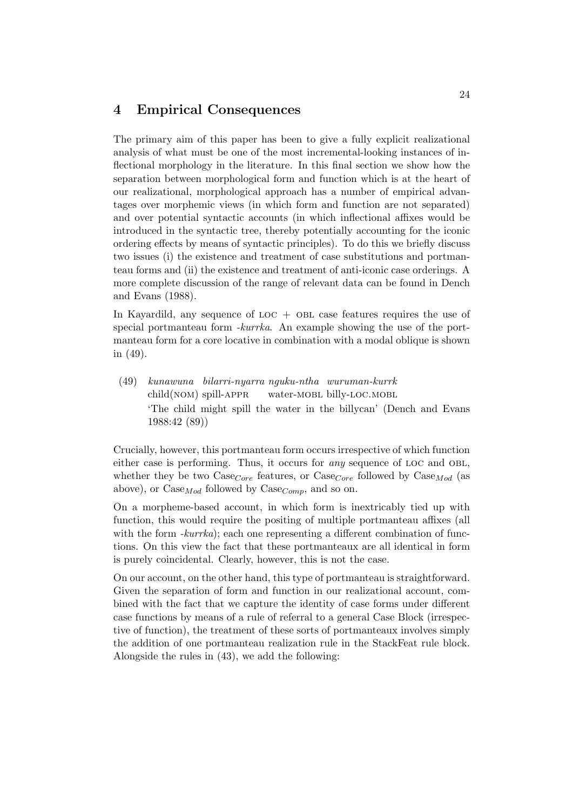### 4 Empirical Consequences

The primary aim of this paper has been to give a fully explicit realizational analysis of what must be one of the most incremental-looking instances of inflectional morphology in the literature. In this final section we show how the separation between morphological form and function which is at the heart of our realizational, morphological approach has a number of empirical advantages over morphemic views (in which form and function are not separated) and over potential syntactic accounts (in which inflectional affixes would be introduced in the syntactic tree, thereby potentially accounting for the iconic ordering effects by means of syntactic principles). To do this we briefly discuss two issues (i) the existence and treatment of case substitutions and portmanteau forms and (ii) the existence and treatment of anti-iconic case orderings. A more complete discussion of the range of relevant data can be found in Dench and Evans (1988).

In Kayardild, any sequence of  $LOC + OBL$  case features requires the use of special portmanteau form -kurrka. An example showing the use of the portmanteau form for a core locative in combination with a modal oblique is shown in (49).

(49) kunawuna bilarri-nyarra nguku-ntha wuruman-kurrk child(NOM) spill-APPR water-mobl billy-loc.mobl 'The child might spill the water in the billycan' (Dench and Evans 1988:42 (89))

Crucially, however, this portmanteau form occurs irrespective of which function either case is performing. Thus, it occurs for *any* sequence of LOC and OBL, whether they be two  $\text{Case}_{Core}$  features, or  $\text{Case}_{Core}$  followed by  $\text{Case}_{Mod}$  (as above), or  $\text{Case}_{Mod}$  followed by  $\text{Case}_{Comp}$ , and so on.

On a morpheme-based account, in which form is inextricably tied up with function, this would require the positing of multiple portmanteau affixes (all with the form  $-kurrka$ ; each one representing a different combination of functions. On this view the fact that these portmanteaux are all identical in form is purely coincidental. Clearly, however, this is not the case.

On our account, on the other hand, this type of portmanteau is straightforward. Given the separation of form and function in our realizational account, combined with the fact that we capture the identity of case forms under different case functions by means of a rule of referral to a general Case Block (irrespective of function), the treatment of these sorts of portmanteaux involves simply the addition of one portmanteau realization rule in the StackFeat rule block. Alongside the rules in (43), we add the following: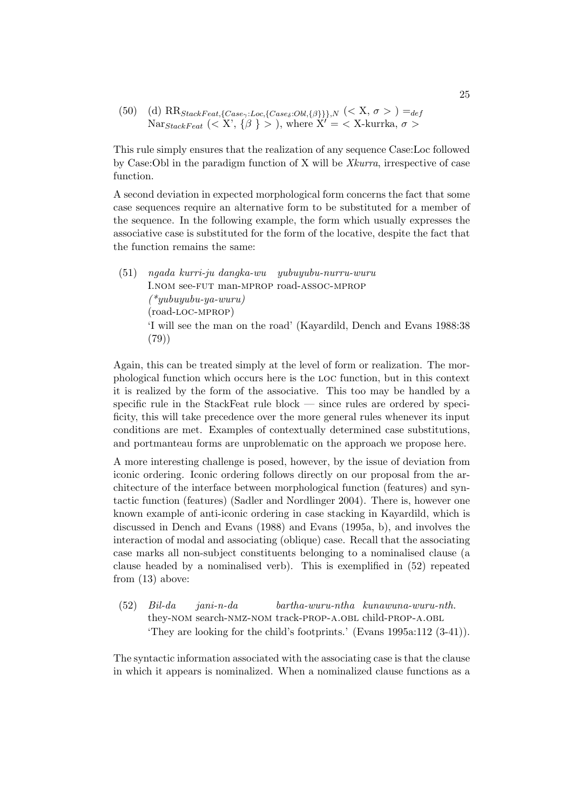(50) (d) RR $_{Stack Fact, \{Case_7: Loc, \{Case_8: Obl, \{\beta\}\}\},N}$  (< X,  $\sigma$  > ) = def NarstackFeat (< X', { $\beta$ } > ), where X' = < X-kurrka,  $\sigma$  >

This rule simply ensures that the realization of any sequence Case:Loc followed by Case:Obl in the paradigm function of X will be Xkurra, irrespective of case function.

A second deviation in expected morphological form concerns the fact that some case sequences require an alternative form to be substituted for a member of the sequence. In the following example, the form which usually expresses the associative case is substituted for the form of the locative, despite the fact that the function remains the same:

(51) ngada kurri-ju dangka-wu yubuyubu-nurru-wuru I.nom see-fut man-mprop road-assoc-mprop  $(*yubuyubu-ya-wuru)$ (road-loc-mprop) 'I will see the man on the road' (Kayardild, Dench and Evans 1988:38 (79))

Again, this can be treated simply at the level of form or realization. The morphological function which occurs here is the loc function, but in this context it is realized by the form of the associative. This too may be handled by a specific rule in the StackFeat rule block — since rules are ordered by specificity, this will take precedence over the more general rules whenever its input conditions are met. Examples of contextually determined case substitutions, and portmanteau forms are unproblematic on the approach we propose here.

A more interesting challenge is posed, however, by the issue of deviation from iconic ordering. Iconic ordering follows directly on our proposal from the architecture of the interface between morphological function (features) and syntactic function (features) (Sadler and Nordlinger 2004). There is, however one known example of anti-iconic ordering in case stacking in Kayardild, which is discussed in Dench and Evans (1988) and Evans (1995a, b), and involves the interaction of modal and associating (oblique) case. Recall that the associating case marks all non-subject constituents belonging to a nominalised clause (a clause headed by a nominalised verb). This is exemplified in (52) repeated from (13) above:

 $(52)$  Bil-da they-nom search-nmz-nom track-prop-a.obl child-prop-a.obl jani-n-da bartha-wuru-ntha kunawuna-wuru-nth. 'They are looking for the child's footprints.' (Evans 1995a:112 (3-41)).

The syntactic information associated with the associating case is that the clause in which it appears is nominalized. When a nominalized clause functions as a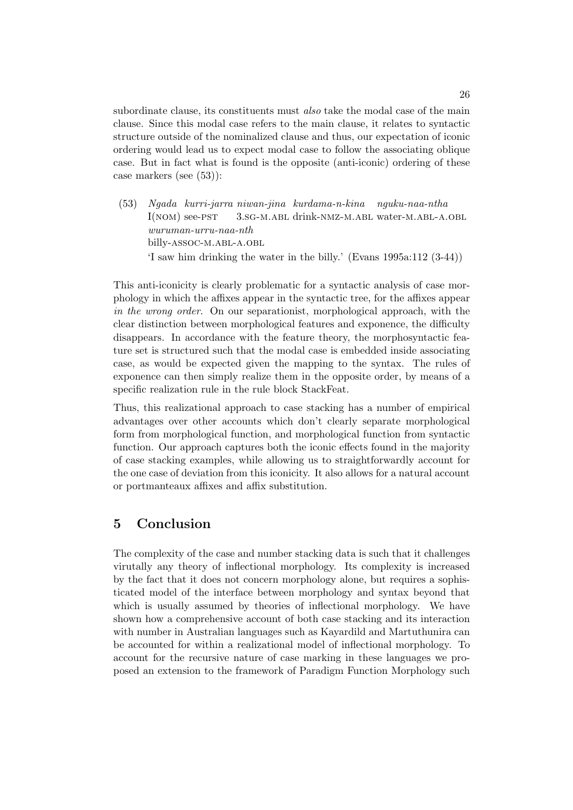subordinate clause, its constituents must also take the modal case of the main clause. Since this modal case refers to the main clause, it relates to syntactic structure outside of the nominalized clause and thus, our expectation of iconic ordering would lead us to expect modal case to follow the associating oblique case. But in fact what is found is the opposite (anti-iconic) ordering of these case markers (see (53)):

(53) Ngada kurri-jarra niwan-jina kurdama-n-kina I(nom) see-pst 3.sg-m.abl drink-nmz-m.abl water-m.abl-a.obl nguku-naa-ntha wuruman-urru-naa-nth billy-assoc-m.abl-a.obl 'I saw him drinking the water in the billy.' (Evans 1995a:112 (3-44))

This anti-iconicity is clearly problematic for a syntactic analysis of case morphology in which the affixes appear in the syntactic tree, for the affixes appear in the wrong order. On our separationist, morphological approach, with the clear distinction between morphological features and exponence, the difficulty disappears. In accordance with the feature theory, the morphosyntactic feature set is structured such that the modal case is embedded inside associating case, as would be expected given the mapping to the syntax. The rules of exponence can then simply realize them in the opposite order, by means of a specific realization rule in the rule block StackFeat.

Thus, this realizational approach to case stacking has a number of empirical advantages over other accounts which don't clearly separate morphological form from morphological function, and morphological function from syntactic function. Our approach captures both the iconic effects found in the majority of case stacking examples, while allowing us to straightforwardly account for the one case of deviation from this iconicity. It also allows for a natural account or portmanteaux affixes and affix substitution.

# 5 Conclusion

The complexity of the case and number stacking data is such that it challenges virutally any theory of inflectional morphology. Its complexity is increased by the fact that it does not concern morphology alone, but requires a sophisticated model of the interface between morphology and syntax beyond that which is usually assumed by theories of inflectional morphology. We have shown how a comprehensive account of both case stacking and its interaction with number in Australian languages such as Kayardild and Martuthunira can be accounted for within a realizational model of inflectional morphology. To account for the recursive nature of case marking in these languages we proposed an extension to the framework of Paradigm Function Morphology such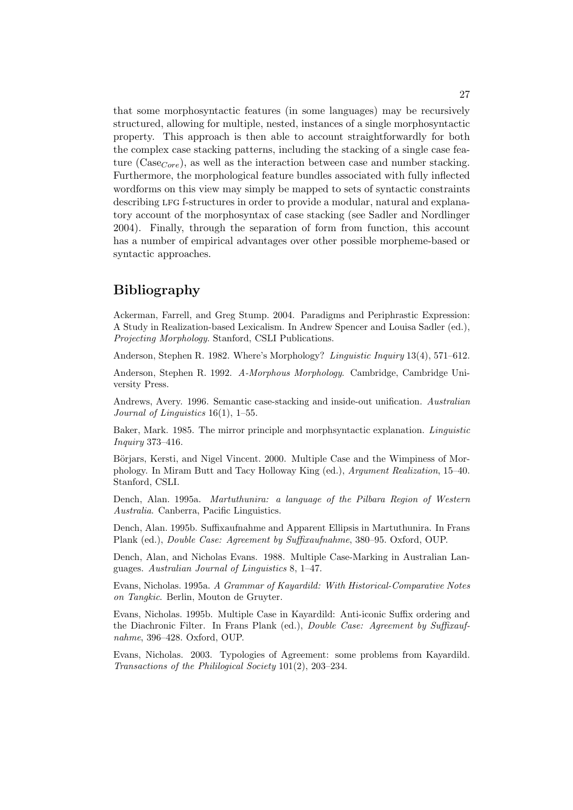that some morphosyntactic features (in some languages) may be recursively structured, allowing for multiple, nested, instances of a single morphosyntactic property. This approach is then able to account straightforwardly for both the complex case stacking patterns, including the stacking of a single case feature ( $\text{Case}_{Core}$ ), as well as the interaction between case and number stacking. Furthermore, the morphological feature bundles associated with fully inflected wordforms on this view may simply be mapped to sets of syntactic constraints describing LFG f-structures in order to provide a modular, natural and explanatory account of the morphosyntax of case stacking (see Sadler and Nordlinger 2004). Finally, through the separation of form from function, this account has a number of empirical advantages over other possible morpheme-based or syntactic approaches.

# Bibliography

Ackerman, Farrell, and Greg Stump. 2004. Paradigms and Periphrastic Expression: A Study in Realization-based Lexicalism. In Andrew Spencer and Louisa Sadler (ed.), Projecting Morphology. Stanford, CSLI Publications.

Anderson, Stephen R. 1982. Where's Morphology? Linguistic Inquiry 13(4), 571–612.

Anderson, Stephen R. 1992. A-Morphous Morphology. Cambridge, Cambridge University Press.

Andrews, Avery. 1996. Semantic case-stacking and inside-out unification. Australian Journal of Linguistics 16(1), 1–55.

Baker, Mark. 1985. The mirror principle and morphsyntactic explanation. Linguistic Inquiry 373–416.

Börjars, Kersti, and Nigel Vincent. 2000. Multiple Case and the Wimpiness of Morphology. In Miram Butt and Tacy Holloway King (ed.), Argument Realization, 15–40. Stanford, CSLI.

Dench, Alan. 1995a. Martuthunira: a language of the Pilbara Region of Western Australia. Canberra, Pacific Linguistics.

Dench, Alan. 1995b. Suffixaufnahme and Apparent Ellipsis in Martuthunira. In Frans Plank (ed.), Double Case: Agreement by Suffixaufnahme, 380–95. Oxford, OUP.

Dench, Alan, and Nicholas Evans. 1988. Multiple Case-Marking in Australian Languages. Australian Journal of Linguistics 8, 1–47.

Evans, Nicholas. 1995a. A Grammar of Kayardild: With Historical-Comparative Notes on Tangkic. Berlin, Mouton de Gruyter.

Evans, Nicholas. 1995b. Multiple Case in Kayardild: Anti-iconic Suffix ordering and the Diachronic Filter. In Frans Plank (ed.), Double Case: Agreement by Suffixaufnahme, 396–428. Oxford, OUP.

Evans, Nicholas. 2003. Typologies of Agreement: some problems from Kayardild. Transactions of the Phililogical Society 101(2), 203–234.